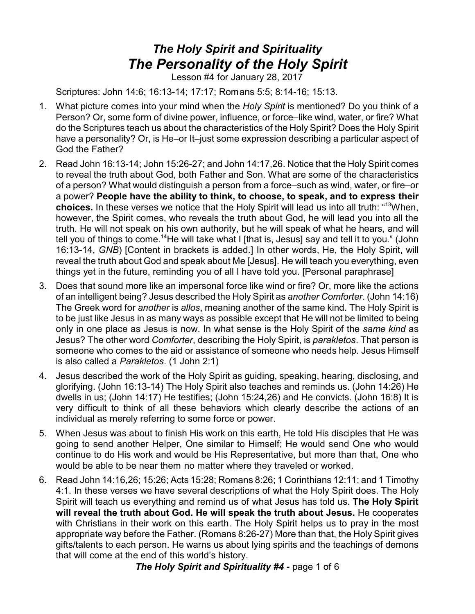## *The Holy Spirit and Spirituality The Personality of the Holy Spirit*

Lesson #4 for January 28, 2017

Scriptures: John 14:6; 16:13-14; 17:17; Romans 5:5; 8:14-16; 15:13.

- 1. What picture comes into your mind when the *Holy Spirit* is mentioned? Do you think of a Person? Or, some form of divine power, influence, or force–like wind, water, or fire? What do the Scriptures teach us about the characteristics of the Holy Spirit? Does the Holy Spirit have a personality? Or, is He–or It–just some expression describing a particular aspect of God the Father?
- 2. Read John 16:13-14; John 15:26-27; and John 14:17,26. Notice that the Holy Spirit comes to reveal the truth about God, both Father and Son. What are some of the characteristics of a person? What would distinguish a person from a force–such as wind, water, or fire–or a power? **People have the ability to think, to choose, to speak, and to express their choices.** In these verses we notice that the Holy Spirit will lead us into all truth: " <sup>13</sup>When, however, the Spirit comes, who reveals the truth about God, he will lead you into all the truth. He will not speak on his own authority, but he will speak of what he hears, and will tell you of things to come.<sup>14</sup>He will take what I [that is, Jesus] say and tell it to you." (John 16:13-14, *GNB*) [Content in brackets is added.] In other words, He, the Holy Spirit, will reveal the truth about God and speak about Me [Jesus]. He will teach you everything, even things yet in the future, reminding you of all I have told you. [Personal paraphrase]
- 3. Does that sound more like an impersonal force like wind or fire? Or, more like the actions of an intelligent being? Jesus described the Holy Spirit as *another Comforter*. (John 14:16) The Greek word for *another* is *allos*, meaning another of the same kind. The Holy Spirit is to be just like Jesus in as many ways as possible except that He will not be limited to being only in one place as Jesus is now. In what sense is the Holy Spirit of the *same kind* as Jesus? The other word *Comforter*, describing the Holy Spirit, is *parakletos*. That person is someone who comes to the aid or assistance of someone who needs help. Jesus Himself is also called a *Parakletos*. (1 John 2:1)
- 4. Jesus described the work of the Holy Spirit as guiding, speaking, hearing, disclosing, and glorifying. (John 16:13-14) The Holy Spirit also teaches and reminds us. (John 14:26) He dwells in us; (John 14:17) He testifies; (John 15:24,26) and He convicts. (John 16:8) It is very difficult to think of all these behaviors which clearly describe the actions of an individual as merely referring to some force or power.
- 5. When Jesus was about to finish His work on this earth, He told His disciples that He was going to send another Helper, One similar to Himself; He would send One who would continue to do His work and would be His Representative, but more than that, One who would be able to be near them no matter where they traveled or worked.
- 6. Read John 14:16,26; 15:26; Acts 15:28; Romans 8:26; 1 Corinthians 12:11; and 1 Timothy 4:1. In these verses we have several descriptions of what the Holy Spirit does. The Holy Spirit will teach us everything and remind us of what Jesus has told us. **The Holy Spirit will reveal the truth about God. He will speak the truth about Jesus.** He cooperates with Christians in their work on this earth. The Holy Spirit helps us to pray in the most appropriate way before the Father. (Romans 8:26-27) More than that, the Holy Spirit gives gifts/talents to each person. He warns us about lying spirits and the teachings of demons that will come at the end of this world's history.

*The Holy Spirit and Spirituality #4 -* page 1 of 6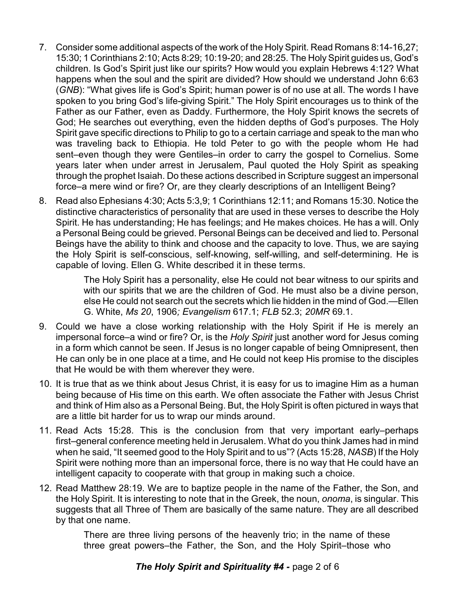- 7. Consider some additional aspects of the work of the Holy Spirit. Read Romans 8:14-16,27; 15:30; 1 Corinthians 2:10; Acts 8:29; 10:19-20; and 28:25. The Holy Spirit guides us, God's children. Is God's Spirit just like our spirits? How would you explain Hebrews 4:12? What happens when the soul and the spirit are divided? How should we understand John 6:63 (*GNB*): "What gives life is God's Spirit; human power is of no use at all. The words I have spoken to you bring God's life-giving Spirit." The Holy Spirit encourages us to think of the Father as our Father, even as Daddy. Furthermore, the Holy Spirit knows the secrets of God; He searches out everything, even the hidden depths of God's purposes. The Holy Spirit gave specific directions to Philip to go to a certain carriage and speak to the man who was traveling back to Ethiopia. He told Peter to go with the people whom He had sent–even though they were Gentiles–in order to carry the gospel to Cornelius. Some years later when under arrest in Jerusalem, Paul quoted the Holy Spirit as speaking through the prophet Isaiah. Do these actions described in Scripture suggest an impersonal force–a mere wind or fire? Or, are they clearly descriptions of an Intelligent Being?
- 8. Read also Ephesians 4:30; Acts 5:3,9; 1 Corinthians 12:11; and Romans 15:30. Notice the distinctive characteristics of personality that are used in these verses to describe the Holy Spirit. He has understanding; He has feelings; and He makes choices. He has a will. Only a Personal Being could be grieved. Personal Beings can be deceived and lied to. Personal Beings have the ability to think and choose and the capacity to love. Thus, we are saying the Holy Spirit is self-conscious, self-knowing, self-willing, and self-determining. He is capable of loving. Ellen G. White described it in these terms.

The Holy Spirit has a personality, else He could not bear witness to our spirits and with our spirits that we are the children of God. He must also be a divine person, else He could not search out the secrets which lie hidden in the mind of God.—Ellen G. White, *Ms 20*, 1906*; Evangelism* 617.1; *FLB* 52.3; *20MR* 69.1.

- 9. Could we have a close working relationship with the Holy Spirit if He is merely an impersonal force–a wind or fire? Or, is the *Holy Spirit* just another word for Jesus coming in a form which cannot be seen. If Jesus is no longer capable of being Omnipresent, then He can only be in one place at a time, and He could not keep His promise to the disciples that He would be with them wherever they were.
- 10. It is true that as we think about Jesus Christ, it is easy for us to imagine Him as a human being because of His time on this earth. We often associate the Father with Jesus Christ and think of Him also as a Personal Being. But, the Holy Spirit is often pictured in ways that are a little bit harder for us to wrap our minds around.
- 11. Read Acts 15:28. This is the conclusion from that very important early–perhaps first–general conference meeting held in Jerusalem. What do you think James had in mind when he said, "It seemed good to the Holy Spirit and to us"? (Acts 15:28, *NASB*) If the Holy Spirit were nothing more than an impersonal force, there is no way that He could have an intelligent capacity to cooperate with that group in making such a choice.
- 12. Read Matthew 28:19. We are to baptize people in the name of the Father, the Son, and the Holy Spirit. It is interesting to note that in the Greek, the noun, *onoma*, is singular. This suggests that all Three of Them are basically of the same nature. They are all described by that one name.

There are three living persons of the heavenly trio; in the name of these three great powers–the Father, the Son, and the Holy Spirit–those who

*The Holy Spirit and Spirituality #4 -* page 2 of 6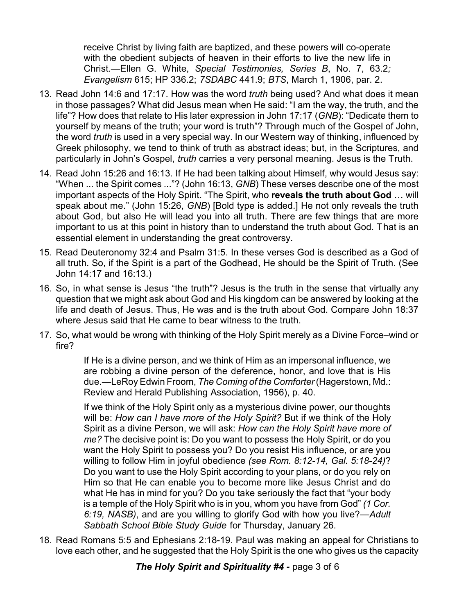receive Christ by living faith are baptized, and these powers will co-operate with the obedient subjects of heaven in their efforts to live the new life in Christ.—Ellen G. White, *Special Testimonies, Series B*, No. 7, 63.2*; Evangelism* 615; HP 336.2; *7SDABC* 441.9; *BTS*, March 1, 1906, par. 2.

- 13. Read John 14:6 and 17:17. How was the word *truth* being used? And what does it mean in those passages? What did Jesus mean when He said: "I am the way, the truth, and the life"? How does that relate to His later expression in John 17:17 (*GNB*): "Dedicate them to yourself by means of the truth; your word is truth"? Through much of the Gospel of John, the word *truth* is used in a very special way. In our Western way of thinking, influenced by Greek philosophy, we tend to think of truth as abstract ideas; but, in the Scriptures, and particularly in John's Gospel, *truth* carries a very personal meaning. Jesus is the Truth.
- 14. Read John 15:26 and 16:13. If He had been talking about Himself, why would Jesus say: "When ... the Spirit comes ..."? (John 16:13, *GNB*) These verses describe one of the most important aspects of the Holy Spirit. "The Spirit, who **reveals the truth about God** … will speak about me." (John 15:26, *GNB*) [Bold type is added.] He not only reveals the truth about God, but also He will lead you into all truth. There are few things that are more important to us at this point in history than to understand the truth about God. That is an essential element in understanding the great controversy.
- 15. Read Deuteronomy 32:4 and Psalm 31:5. In these verses God is described as a God of all truth. So, if the Spirit is a part of the Godhead, He should be the Spirit of Truth. (See John 14:17 and 16:13.)
- 16. So, in what sense is Jesus "the truth"? Jesus is the truth in the sense that virtually any question that we might ask about God and His kingdom can be answered by looking at the life and death of Jesus. Thus, He was and is the truth about God. Compare John 18:37 where Jesus said that He came to bear witness to the truth.
- 17. So, what would be wrong with thinking of the Holy Spirit merely as a Divine Force–wind or fire?

If He is a divine person, and we think of Him as an impersonal influence, we are robbing a divine person of the deference, honor, and love that is His due.—LeRoy Edwin Froom, *The Coming of the Comforter*(Hagerstown, Md.: Review and Herald Publishing Association, 1956), p. 40.

If we think of the Holy Spirit only as a mysterious divine power, our thoughts will be: *How can I have more of the Holy Spirit?* But if we think of the Holy Spirit as a divine Person, we will ask: *How can the Holy Spirit have more of me?* The decisive point is: Do you want to possess the Holy Spirit, or do you want the Holy Spirit to possess you? Do you resist His influence, or are you willing to follow Him in joyful obedience *(see Rom. 8:12-14, Gal. 5:18-24)*? Do you want to use the Holy Spirit according to your plans, or do you rely on Him so that He can enable you to become more like Jesus Christ and do what He has in mind for you? Do you take seriously the fact that "your body is a temple of the Holy Spirit who is in you, whom you have from God" *(1 Cor. 6:19, NASB)*, and are you willing to glorify God with how you live?—*Adult Sabbath School Bible Study Guide* for Thursday, January 26.

18. Read Romans 5:5 and Ephesians 2:18-19. Paul was making an appeal for Christians to love each other, and he suggested that the Holy Spirit is the one who gives us the capacity

*The Holy Spirit and Spirituality #4 -* page 3 of 6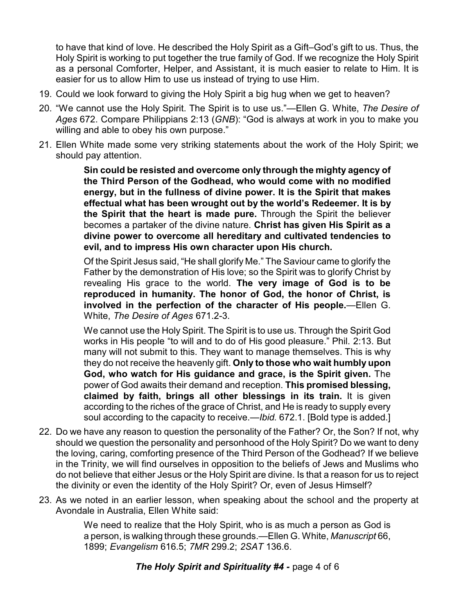to have that kind of love. He described the Holy Spirit as a Gift–God's gift to us. Thus, the Holy Spirit is working to put together the true family of God. If we recognize the Holy Spirit as a personal Comforter, Helper, and Assistant, it is much easier to relate to Him. It is easier for us to allow Him to use us instead of trying to use Him.

- 19. Could we look forward to giving the Holy Spirit a big hug when we get to heaven?
- 20. "We cannot use the Holy Spirit. The Spirit is to use us."—Ellen G. White, *The Desire of Ages* 672. Compare Philippians 2:13 (*GNB*): "God is always at work in you to make you willing and able to obey his own purpose."
- 21. Ellen White made some very striking statements about the work of the Holy Spirit; we should pay attention.

**Sin could be resisted and overcome only through the mighty agency of the Third Person of the Godhead, who would come with no modified energy, but in the fullness of divine power. It is the Spirit that makes effectual what has been wrought out by the world's Redeemer. It is by the Spirit that the heart is made pure.** Through the Spirit the believer becomes a partaker of the divine nature. **Christ has given His Spirit as a divine power to overcome all hereditary and cultivated tendencies to evil, and to impress His own character upon His church.**

Of the Spirit Jesus said, "He shall glorify Me." The Saviour came to glorify the Father by the demonstration of His love; so the Spirit was to glorify Christ by revealing His grace to the world. **The very image of God is to be reproduced in humanity. The honor of God, the honor of Christ, is involved in the perfection of the character of His people.**—Ellen G. White, *The Desire of Ages* 671.2-3.

We cannot use the Holy Spirit. The Spirit is to use us. Through the Spirit God works in His people "to will and to do of His good pleasure." Phil. 2:13. But many will not submit to this. They want to manage themselves. This is why they do not receive the heavenly gift. **Only to those who wait humbly upon God, who watch for His guidance and grace, is the Spirit given.** The power of God awaits their demand and reception. **This promised blessing, claimed by faith, brings all other blessings in its train.** It is given according to the riches of the grace of Christ, and He is ready to supply every soul according to the capacity to receive.—*Ibid.* 672.1. [Bold type is added.]

- 22. Do we have any reason to question the personality of the Father? Or, the Son? If not, why should we question the personality and personhood of the Holy Spirit? Do we want to deny the loving, caring, comforting presence of the Third Person of the Godhead? If we believe in the Trinity, we will find ourselves in opposition to the beliefs of Jews and Muslims who do not believe that either Jesus or the Holy Spirit are divine. Is that a reason for us to reject the divinity or even the identity of the Holy Spirit? Or, even of Jesus Himself?
- 23. As we noted in an earlier lesson, when speaking about the school and the property at Avondale in Australia, Ellen White said:

We need to realize that the Holy Spirit, who is as much a person as God is a person, is walking through these grounds.—Ellen G. White, *Manuscript* 66, 1899; *Evangelism* 616.5; *7MR* 299.2; *2SAT* 136.6.

*The Holy Spirit and Spirituality #4 -* page 4 of 6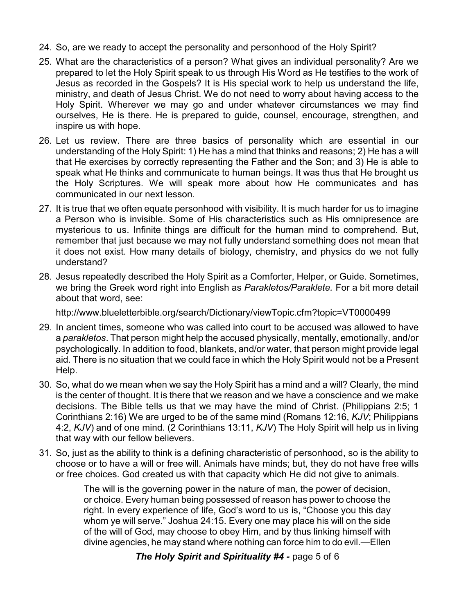- 24. So, are we ready to accept the personality and personhood of the Holy Spirit?
- 25. What are the characteristics of a person? What gives an individual personality? Are we prepared to let the Holy Spirit speak to us through His Word as He testifies to the work of Jesus as recorded in the Gospels? It is His special work to help us understand the life, ministry, and death of Jesus Christ. We do not need to worry about having access to the Holy Spirit. Wherever we may go and under whatever circumstances we may find ourselves, He is there. He is prepared to guide, counsel, encourage, strengthen, and inspire us with hope.
- 26. Let us review. There are three basics of personality which are essential in our understanding of the Holy Spirit: 1) He has a mind that thinks and reasons; 2) He has a will that He exercises by correctly representing the Father and the Son; and 3) He is able to speak what He thinks and communicate to human beings. It was thus that He brought us the Holy Scriptures. We will speak more about how He communicates and has communicated in our next lesson.
- 27. It is true that we often equate personhood with visibility. It is much harder for us to imagine a Person who is invisible. Some of His characteristics such as His omnipresence are mysterious to us. Infinite things are difficult for the human mind to comprehend. But, remember that just because we may not fully understand something does not mean that it does not exist. How many details of biology, chemistry, and physics do we not fully understand?
- 28. Jesus repeatedly described the Holy Spirit as a Comforter, Helper, or Guide. Sometimes, we bring the Greek word right into English as *Parakletos/Paraklete.* For a bit more detail about that word, see:

http://www.blueletterbible.org/search/Dictionary/viewTopic.cfm?topic=VT0000499

- 29. In ancient times, someone who was called into court to be accused was allowed to have a *parakletos*. That person might help the accused physically, mentally, emotionally, and/or psychologically. In addition to food, blankets, and/or water, that person might provide legal aid. There is no situation that we could face in which the Holy Spirit would not be a Present Help.
- 30. So, what do we mean when we say the Holy Spirit has a mind and a will? Clearly, the mind is the center of thought. It is there that we reason and we have a conscience and we make decisions. The Bible tells us that we may have the mind of Christ. (Philippians 2:5; 1 Corinthians 2:16) We are urged to be of the same mind (Romans 12:16, *KJV*; Philippians 4:2, *KJV*) and of one mind. (2 Corinthians 13:11, *KJV*) The Holy Spirit will help us in living that way with our fellow believers.
- 31. So, just as the ability to think is a defining characteristic of personhood, so is the ability to choose or to have a will or free will. Animals have minds; but, they do not have free wills or free choices. God created us with that capacity which He did not give to animals.

The will is the governing power in the nature of man, the power of decision, or choice. Every human being possessed of reason has power to choose the right. In every experience of life, God's word to us is, "Choose you this day whom ye will serve." Joshua 24:15. Every one may place his will on the side of the will of God, may choose to obey Him, and by thus linking himself with divine agencies, he may stand where nothing can force him to do evil.—Ellen

*The Holy Spirit and Spirituality #4 -* page 5 of 6